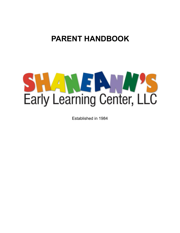## **PARENT HANDBOOK**



Established in 1984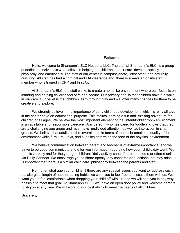#### **Welcome!**

Hello, welcome to Shaneann's ELC Hesperia LLC. The staff at Shaneann's ELC is a group of dedicated individuals who believe in helping the children in their care develop socially, physically, and emotionally. The staff at our center is compassionate, observant, and naturally nurturing. All staff has had a criminal and FIA clearance and there is always an onsite staff member who is trained in CPR and First Aid.

At Shaneann's ELC, the staff works to create a homelike environment where our focus is on learning and helping children feel safe and secure. Our primary goal is that children have fun while in our care. Our belief is that children learn through play and we offer many chances for them to be creative and explore.

We strongly believe in the importance of early childhood development, which is why all toys in the center have an educational purpose. This makes learning a fun and exciting adventure for children of all ages. We believe the most important element of the infant/toddler room environment is an available and responsible caregiver. Any person who has cared for toddlers knows that they are a challenging age group and must have undivided attention, as well as interaction in small groups. We believe that adults set the overall tone in terms of the socio-emotional quality of the environment while furniture, toys, and supplies determine the tone of the physical environment.

We believe communication between parent and teacher is of extreme importance and we strive to be good communicators to offer you information regarding how your child's day went. We do this verbally and for the younger children: "daily activity sheets" are sent home or offered online via Daily Connect. We encourage you to share openly any concerns or questions that may arise. It is important that there is a similar child care philosophy between the parents and staff.

No matter what age your child is, if there are any special issues you want to address such as; allergies, length of naps or eating habits we want you to feel free to discuss them with us. We want you to feel comfortable when dropping your child off with us and we will help you in any way possible to meet that goal. At Shaneann's ELC we have an open door policy and welcome parents to stop in at any time. We will work to our best ability to meet the needs of all children.

Sincerely,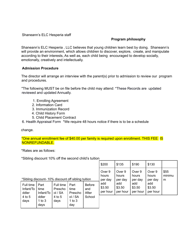Shaneann's ELC Hesperia staff

#### **Program philosophy**

Shaneann's ELC Hesperia , LLC believes that young children learn best by doing. Shaneann's will provide an environment, which allows children to discover, explore, create, and manipulate according to their interests, As well as, each child being encouraged to develop socially, emotionally, creatively and intellectually.

#### **Admission Procedure**

The director will arrange an interview with the parent(s) prior to admission to review our program and procedures.

"The following MUST be on file before the child may attend: \*These Records are updated reviewed and updated Annually.

- 1. Enrolling Agreement
- 2. Information Card
- 3. Immunization Record
- 4. Child History Form
- 5. Child Placement Contract

6. Health Appraisal Form \*We require 48 hours notice if there is to be a schedule

change.

\*One annual enrollment fee of \$40.00 per family is required upon enrollment. THIS FEE IS NONREFUNDABLE.

\*Rates are as follows:

\*Sibling discount 10% off the second child's tuition

|                                                    |                           |                |                            |               | \$200    | \$135    | \$190    | \$130    |        |
|----------------------------------------------------|---------------------------|----------------|----------------------------|---------------|----------|----------|----------|----------|--------|
| *Sibling discount-10% discount off sibling tuition |                           |                |                            |               | Over 9   | Over 9   | Over 9   | Over 9   | \$55   |
|                                                    |                           |                |                            |               | hours    | hours    | hours    | hours    | minimu |
|                                                    |                           |                |                            |               | per day  | per day  | per day  | per day  | m      |
| Full time                                          | Part                      | Full time      | Part                       | <b>Before</b> | add      | add      | add      | add      |        |
| Infant/To                                          | time                      | Prescho        | time                       | and           | \$3.50   | \$3.50   | \$3.50   | \$3.50   |        |
| ddler                                              | Infant/To                 | ol / SA        | Prescho                    | After         | per hour | per hour | per hour | per hour |        |
| $4$ to 5<br>days                                   | ddler<br>1 to $3$<br>days | 4 to 5<br>days | ol / SA<br>1 to $3$<br>day | School        |          |          |          |          |        |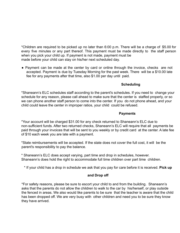\*Children are required to be picked up no later than 6:00 p.m. There will be a charge of \$5.00 for every five minutes or any part thereof. This payment must be made directly to the staff person when you pick your child up. If payment is not made, payment must be made before your child can stay on his/her next scheduled day.

● Payment can be made at the center by card or online through the invoice, checks are not accepted. Payment is due by Tuesday Morning for the past week. There will be a \$10.00 late fee for any payments after that time, also \$1.00 per day until paid.

## **Scheduling**

\*Shaneann's ELC schedules staff according to the parent's schedules. If you need to change your schedule for any reason, please call ahead to make sure that the center is staffed properly, or so we can phone another staff person to come into the center. If you do not phone ahead, and your child could leave the center in improper ratios, your child could be refused.

## **Payments**

\*Your account will be charged \$31.00 for any check returned to Shaneann's ELC due to non-sufficient funds. After two returned checks, Shaneann's ELC will require that all payments be paid through your invoices that will be sent to you weekly or by credit card at the center. A late fee of \$10 each week you are late with a payment.

\*State reimbursements will be accepted. If the state does not cover the full cost, it will be the parent's responsibility to pay the balance.

\* Shaneann's ELC does accept varying, part time and drop in schedules, however. Shaneann's does hold the right to accommodate full time children over part time children.

\* If your child has a drop in schedule we ask that you pay for care before it is received. **Pick up**

#### **and Drop off**

\*For safety reasons, please be sure to escort your child to and from the building. Shaneann's asks that the parents do not allow the children to walk to the car by his/herself, or play outside the fenced in areas. We also would like parents to be sure that the teacher is aware that the child has been dropped off. We are very busy with other children and need you to be sure they know they have arrived.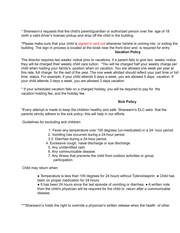\* Shaneann's requests that the child's parent/guardian or authorized person over the age of 18 (with a valid driver's license) pickup and drop off the child in the building.

\*Please make sure that your child is signed in and out whenever he/she is coming into or exiting the building. The sign in process is located at the kiosk near the front door and is required for entry **Vacation Policy**

The director requires two weeks' notice prior to vacations, if a parent fails to give two weeks' notice, they will be charged their weekly child care tuition. \*You will be charged half your weekly charge per child when holding your family's position when on vacation. You are allowed one week per year at this rate, full charge for the rest of the year. The one week allotted should reflect your part time or full time status. For example, if your child attends 5 days a week, you are allowed 5 days vacation. If your child attends 3 days a week, you are allowed 3 days vacation

\* If your scheduled vacation falls on a charged holiday, you will be required to pay for the vacation holding fee, and the holiday fee.

#### **Sick Policy**

\*Every attempt is made to keep the children healthy and safe. Shaneann's ELC asks that the parents strictly adhere to the sick policy; this will help in our efforts.

Guidelines for excluding sick children:

- 1. Fever-any temperature over 100 degrees (un-medicated) in a 24- hour period.
- 2. Vomiting has occurred during a 24-hour period.
- 3.3 Diarrhea during a 24-hour period.
- 4. Excessive cough, nasal discharge or eye discharge.
	- 5. Any unidentified rash.
	- 6. Any communicable disease.
	- 7. Any illness that prevents the child from outdoor activities or group participation.

Child may return when:

● Temperature is less than 100 degrees for 24 hours without Tylenol/aspirin. ● Child has been on proper medication for 24 hours.

● It has been 24 hours since the last episode of vomiting or diarrhea. ● A written note from the child's physician will be required for the child to return after a communicable disease.

\*\*\*Shaneann's holds the right to override a physician's written release when the health of other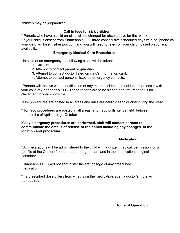children may be jeopardized.

## **Call in fees for sick children**

\* Parents who have a child enrolled will be charged for absent days for the week.

\*If your child is absent from Shaneann's ELC three consecutive scheduled days with no phone call, your child will lose his/her position, and you will need to re-enroll your child, based on current availability.

#### **Emergency Medical Care Procedures**

\*In case of an emergency the following steps will be taken:

- 1. Call 911.
- 2. Attempt to contact parent or guardian.
- 3. Attempt to contact doctor listed on child's information card.
- 4. Attempt to contact persons listed as emergency contacts.

\*Parents will receive written notification of any minor accidents or incidents that occur with your child at Shaneann's ELC. These reports are to be signed and returned to us for placement in your child's file.

\*Fire procedures are posted in all areas and drills are held 1x each quarter during the year.

\* Tornado procedures are posted in all areas, 2 tornado drills will be held between the months of April through October

**If any emergency procedures are performed, staff will contact parents to communicate the details of release of their child including any changes in the location and procedure.**

#### **Medication**

\* All medications will be administered to the child with a written medical permission form (on file at the Center) from the parent or guardian, and in the medications original container.

\*Shaneann's ELC will not administer the first dosage of any prescribed medication.

\*If a prescribed dose differs from what is on the medication label, a doctor's note will be required.

**Hours of Operation**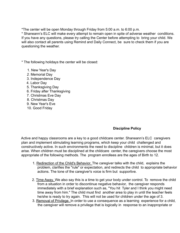\*The center will be open Monday through Friday from 5:00 a.m. to 6:00 p.m.

\* Shaneann's ELC will make every attempt to remain open in spite of adverse weather conditions. If you have any questions, please try calling the Center before attempting to bring your child. We will also contact all parents using Remind and Daily Connect, be sure to check them if you are questioning the weather.

\* The following holidays the center will be closed:

- 1. New Year's Day
- *2.* Memorial Day
- 3. Independence Day
- 4. Labor Day
- 5. Thanksgiving Day
- 6. Friday after Thanksgiving
- 7. Christmas Eve Day
- 8. Christmas Day
- 9. New Year's Eve
- 10. Good Friday

## **Discipline Policy**

Active and happy classrooms are a key to a good childcare center. Shaneann's ELC caregivers plan and implement stimulating learning programs, which keep your child challenged and constructively active. In such environments the need to discipline children is minimal, but it does arise. When children must be disciplined at the childcare center, the caregivers choose the most appropriate of the following methods. The program enrollees are the ages of Birth to 12.

- 1. Redirection of the Child's Behavior. The caregiver talks with the child, explains the problem, clarifies the "rule" or expectation, and redirects the child to appropriate behavior actions. The tone of the caregiver's voice is firm but supportive.
- 2. Time Away. We also say this is a time to get your body under control. To remove the child from a situation in order to discontinue negative behavior, the caregiver responds immediately with a brief explanation such as, "You hit Tyler and I think you might need time away from him." The child must find another area to play in until the teacher feels he/she is ready to try again. This will not be used for children under the age of 3.
- 3. Removal of Privilege. In order to use a consequence as a learning experience for a child, the caregiver will remove a privilege that is logically in response to an inappropriate or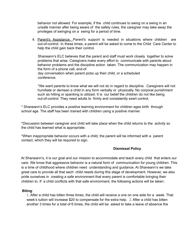behavior not allowed. For example, if the child continues to swing on a swing in an unsafe manner after being aware of the safety rules, the caregiver may take away the privileges of swinging on a swing for a period of time.

4. Parent's Assistance. Parent's support is needed in situations where children are out-of-control. In these times, a parent will be asked to come to the Child Care Center to help the child gain back their control.

Shaneann's ELC believes that the parent and staff must work closely together to solve problems that arise. Caregivers make every effort to communicate with parents about behavior problems and the discipline action taken. The communication may happen in the form of a phone call, end-of day conversation when parent picks up their child, or a scheduled conference.

\*We want parents to know what we will not do in regard to discipline. Caregivers will not humiliate or demean a child in any form verbally or physically. No corporal punishment such as hitting or spanking is utilized. It is our belief the children do not like being out-of-control. They need adults to firmly and consistently exert control.

\* Shaneann's ELC provides a positive learning environment for children ages birth through school age. The staff has been trained with children using a positive manner.

\*Discussion between caregiver and child will take place when the child returns to the activity so the child has learned what is appropriate.

\*When inappropriate behavior occurs with a child, the parent will be informed with a parent contact, which they will be required to sign.

## **Dismissal Policy**

At Shaneann's, it is our goal and our mission to accommodate and teach every child that enters our care. We know that aggressive behavior is a natural form of communication for young children. This is a time of childhood where children need understanding and guidance. At Shaneann's we take great care to provide all that each child needs during this stage of development. However, we also pride ourselves in creating a safe environment that every parent is comfortable bringing their children to. If a child conflicts with that safe environment, the following actions will be taken:

## **Biting**:

1. After a child has bitten three times, the child will receive a one on one aide for a week. That week's tuition will increase \$20 to compensate for the extra help. 2. After a child has bitten another 3 times for a total of 6 times, the child will be asked to take a leave of absence the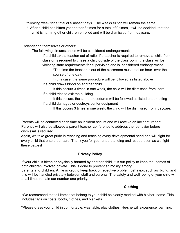following week for a total of 5 absent days. The weeks tuition will remain the same.

3. After a child has bitten yet another 3 times for a total of 9 times, it will be decided that the child is harming other children enrolled and will be dismissed from daycare.

Endangering themselves or others:

The following circumstances will be considered endangerment:

If a child take a teacher out of ratio- if a teacher is required to remove a child from class or is required to chase a child outside of the classroom, the class will be violating state requirements for supervision and is considered endangerment.

\*The time the teacher is out of the classroom must total an hour over the course of one day.

In this case, the same procedure will be followed as listed above If a child draws blood on another child

If this occurs 3 times in one week, the child will be dismissed from care If a child tries to exit the building

If this occurs, the same procedures will be followed as listed under biting If a child damages or destroys center equipment

If this occurs 3 times in one week, the child will be dismissed from daycare.

Parents will be contacted each time an incident occurs and will receive an incident report. Parent's will also be allowed a parent teacher conference to address the behavior before dismissal is required.

Again, we take great pride in reaching and teaching every developmental need and will fight for every child that enters our care. Thank you for your understanding and cooperation as we fight these battles!

## **Privacy Policy**

If your child is bitten or physically harmed by another child, it is our policy to keep the names of both children involved private. This is done to prevent animosity among parents and children. A file is kept to keep track of repetitive problem behavior, such as biting, and this will be handled privately between staff and parents. The safety and well being of your child will at all times remain our number one priority.

## **Clothing**

\*We recommend that all items that belong to your child be clearly marked with his/her name. This includes tags on coats, boots, clothes, and blankets.

\*Please dress your child in comfortable, washable, play clothes. He/she will experience painting,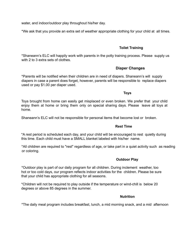water, and indoor/outdoor play throughout his/her day.

\*We ask that you provide an extra set of weather appropriate clothing for your child at all times.

## **Toilet Training**

\*Shaneann's ELC will happily work with parents in the potty training process. Please supply us with 2 to 3 extra sets of clothes.

## **Diaper Changes**

\*Parents will be notified when their children are in need of diapers. Shaneann's will supply diapers in case a parent does forget, however, parents will be responsible to replace diapers used or pay \$1.00 per diaper used.

**Toys**

Toys brought from home can easily get misplaced or even broken. We prefer that your child enjoy them at home or bring them only on special sharing days. Please leave all toys at home.

Shaneann's ELC will not be responsible for personal items that become lost or broken.

#### **Rest Time**

\*A rest period is scheduled each day, and your child will be encouraged to rest quietly during this time. Each child must have a SMALL blanket labeled with his/her name.

\*All children are required to "rest" regardless of age, or take part in a quiet activity such as reading or coloring.

## **Outdoor Play**

\*Outdoor play is part of our daily program for all children. During inclement weather, too hot or too cold days, our program reflects indoor activities for the children. Please be sure that your child has appropriate clothing for all seasons.

\*Children will not be required to play outside if the temperature or wind-chill is below 20 degrees or above 85 degrees in the summer.

#### **Nutrition**

\*The daily meal program includes breakfast, lunch, a mid morning snack, and a mid afternoon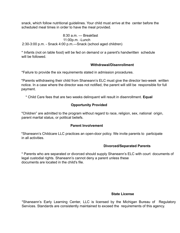snack, which follow nutritional guidelines. Your child must arrive at the center before the scheduled meal times in order to have the meal provided.

8:30 a.m. — Breakfast 11:00p.m. -Lunch 2:30-3:00 p.m. - Snack 4:00 p.m.—Snack (school aged children)

\* Infants (not on table food) will be fed on demand or a parent's handwritten schedule will be followed.

#### **Withdrawal/Disenrollment**

\*Failure to provide the six requirements stated in admission procedures.

\*Parents withdrawing their child from Shaneann's ELC must give the director two-week written notice. In a case where the director was not notified, the parent will still be responsible for full payment.

\* Child Care fees that are two weeks delinquent will result in disenrollment. **Equal**

## **Opportunity Provided**

"Children" are admitted to the program without regard to race, religion, sex, national origin, parent marital status, or political beliefs.

## **Parent Involvement**

\*Shaneann's Childcare LLC practices an open-door policy. We invite parents to participate in all activities.

## **Divorced/Separated Parents**

\* Parents who are separated or divorced should supply Shaneann's ELC with court documents of legal custodial rights. Shaneann's cannot deny a parent unless these documents are located in the child's file.

#### **State License**

\*Shaneann's Early Learning Center, LLC is licensed by the Michigan Bureau of Regulatory Services. Standards are consistently maintained to exceed the requirements of this agency.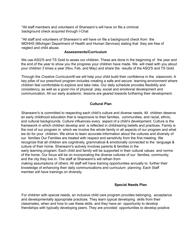\*All staff members and volunteers of Shaneann's will have on file a criminal background check acquired through I-Chat

\*All staff and volunteers of Shaneann's will have on file a background check from the MDHHS (Michigan Department of Health and Human Services) stating that they are free of neglect and child abuse.

#### **Assessments/Curriculum**

We use ASQ'S and TS Gold to asses our children. These are done in the beginning of the year and the end of the year to show you the progress your children have made. We will meet with you about your children 3 times a year (Nov, Feb, and May) and share the results of the ASQ'S and TS Gold.

Through the *Creative Curriculum®* we will help your child build their confidence in the classroom. A key pillar of our preschool program includes creating a safe and secure learning environment where children feel comfortable to explore and take risks. Our daily schedule provides flexibility and consistency, as well as a good mix of physical play, social and emotional development and communication. All our early academic lessons are geared towards furthering their development.

#### **Cultural Plan**

Shaneann's is committed to respecting each child's culture and diverse needs. All children deserve an early childhood education that is responsive to their families, communities, and racial, ethnic, and cultural backgrounds. Culture influences every aspect of a child's development. Culture is the framework in which children develop and is reflected in childrearing beliefs and practices. Family is the root of our program in which we involve the whole family in all aspects of our program and what we do for your children. We strive to learn accurate information about the cultures and diversity of our families Our Families are treated with respect and sensitivity from the first meeting. We recognize that all children are cognitively, grammatical & emotionally connected to the language & culture of their home. Shaneann's actively involves parents & families in the early learning program. Each child and family will be supported in their cultural values and norms of the home. Our focus will be on incorporating the diverse cultures of our families, community, and the city they live in. The staff at Shaneann's will refrain from making assumptions of others. All staff will have training opportunities annually to further their

knowledge of enhancing their daily communications and curriculum planning. Each Staff member will have trainings on diversity.

#### **Special Needs Plan**

For children with special needs, an inclusive child care program provides belonging, acceptance and developmentally appropriate practices. They learn typical developing skills from their classmates, when and how to use these skills, and they have an opportunity to develop friendships with typically developing peers. They are provided opportunities to develop positive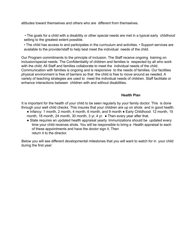attitudes toward themselves and others who are different from themselves.

• The goals for a child with a disability or other special needs are met in a typical early childhood setting to the greatest extent possible.

• The child has access to and participates in the curriculum and activities. • Support services are available to the provider/staff to help best meet the individual needs of the child.

Our Program commitments to the principle of inclusion. The Staff receive ongoing training on inclusion/special needs. The Confidentiality of children and families is respected by all who work with the child. All Staff and families collaborate to meet the individual needs of the child. Communication with families is ongoing and is responsive to the needs of families. Our facilities physical environment is free of barriers so that the child is free to move around as needed. A variety of teaching strategies are used to meet the individual needs of children. Staff facilitate or enhance interactions between children with and without disabilities.

## **Health Plan**

It is important for the health of your child to be seen regularly by your family doctor. This is done through your well child checks. This insures that your children are up on shots and in good health.

- Infancy: 1 month, 2 month, 4 month, 6 month, and 9 month Early Childhood: 12 month, 15 month, 18 month, 24 month, 30 month, 3 yr, 4 yr. ● Then every year after that.
- State requires an updated health appraisal yearly. Immunizations should be updated every time your child receives shots. You will be responsible to bring a Health appraisal to each of these appointments and have the doctor sign it. Then return it to the director.

Below you will see different developmental milestones that you will want to watch for in your child during the first year: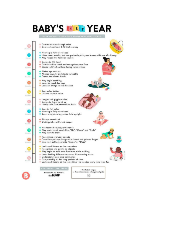## **BABY'S IDST YEAR**

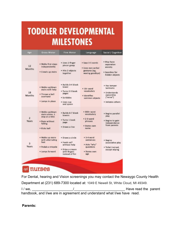# **TODDLER DEVELOPMENTAL MILESTONES**

| Age          | <b>Gross Motor</b>                                                                                | <b>Fine Motor</b>                                                                                       | Language                                                                      | Social / Cognitive                                                                      |
|--------------|---------------------------------------------------------------------------------------------------|---------------------------------------------------------------------------------------------------------|-------------------------------------------------------------------------------|-----------------------------------------------------------------------------------------|
| 12<br>Months | . Walks first steps<br>independently<br>* Crawls up stairs                                        | * Uses 2-finger<br>pincer grasp<br>· Hits 2 objects<br>together                                         | . Says 3-5 words<br>· Uses non-verbal<br>gestures (eg,<br>waving goodbye)     | . May have<br>separation<br>anxiety<br>· Searches for<br>hidden objects                 |
| 18<br>Months | * Walks up/down<br>stairs with help<br>. Throws a ball<br>overhand<br>· Jumps in place            | · Builds 3-4 block<br>tower<br>· Turns 2-3 book<br>pages<br>· Scribbles<br>· Uses cup<br>and spoon      | $*10+word$<br>vocabulary<br>· Identifies<br>common objects                    | · Has temper<br>tantrums<br>· Understands<br>ownership<br>("mine")<br>· Imitates others |
| 2<br>Years   | * Walks up/down<br>stairs alone, 1<br>step at a time<br>· Runs without<br>falling<br>* Kicks ball | · Builds 6-7 block<br>towers<br>· Turns 1 book<br>page<br>· Draws a line                                | $*300+word$<br>vocabulary<br>$* 2-3$ -word<br>phrases<br>· States own<br>name | · Begins parallel<br>play<br>. Begins to gain<br>independence<br>from parents           |
| 3<br>Years   | · Walks up stairs<br>with alternating<br>feet<br>· Pedals a tricycle<br>· Jumps forward           | · Draws a circle<br>· Feeds self<br>without help<br>· Grips a crayon<br>with fingers<br>instead of fist | + 3-4 word<br>sentences<br>. Asks "why"<br>questions<br>· States own<br>age   | · Begins<br>associative play<br>· Toilet trained.<br>except wiping                      |
|              |                                                                                                   |                                                                                                         |                                                                               |                                                                                         |
| ad           | urses                                                                                             |                                                                                                         |                                                                               |                                                                                         |

For Dental, hearing and Vision screenings you may contact the Newaygo County Health

Department at (231) 689-7300 located at: 1049 E Newell St, White Cloud, MI 49349.

I / we, \_\_\_\_\_\_\_\_\_\_\_\_\_\_\_\_\_\_\_\_\_/\_\_\_\_\_\_\_\_\_\_\_\_\_\_\_\_\_\_\_\_\_\_\_\_\_\_ Have read the parent handbook, and I/we are in agreement and understand what I/we have read.

**Parents:**